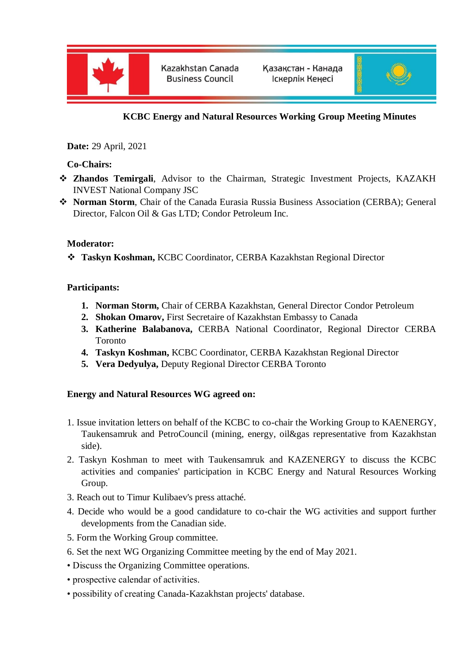

Kazakhstan Canada **Business Council** 



# **KCBC Energy and Natural Resources Working Group Meeting Minutes**

**Date:** 29 April, 2021

**Co-Chairs:**

- **Zhandos Temirgali**, Advisor to the Chairman, Strategic Investment Projects, KAZAKH INVEST National Company JSC
- **Norman Storm**, Chair of the Canada Eurasia Russia Business Association (CERBA); General Director, Falcon Oil & Gas LTD; Condor Petroleum Inc.

### **Moderator:**

**Taskyn Koshman,** KCBC Coordinator, CERBA Kazakhstan Regional Director

### **Participants:**

- **1. Norman Storm,** Chair of CERBA Kazakhstan, General Director Condor Petroleum
- **2. Shokan Omarov,** First Secretaire of Kazakhstan Embassy to Canada
- **3. Katherine Balabanova,** CERBA National Coordinator, Regional Director CERBA Toronto
- **4. Taskyn Koshman,** KCBC Coordinator, CERBA Kazakhstan Regional Director
- **5. Vera Dedyulya,** Deputy Regional Director CERBA Toronto

# **Energy and Natural Resources WG agreed on:**

- 1. Issue invitation letters on behalf of the KCBC to co-chair the Working Group to KAENERGY, Taukensamruk and PetroCouncil (mining, energy, oil&gas representative from Kazakhstan side).
- 2. Taskyn Koshman to meet with Taukensamruk and KAZENERGY to discuss the KCBC activities and companies' participation in KCBC Energy and Natural Resources Working Group.
- 3. Reach out to Timur Kulibaev's press attaché.
- 4. Decide who would be a good candidature to co-chair the WG activities and support further developments from the Canadian side.
- 5. Form the Working Group committee.
- 6. Set the next WG Organizing Committee meeting by the end of May 2021.
- Discuss the Organizing Committee operations.
- prospective calendar of activities.
- possibility of creating Canada-Kazakhstan projects' database.